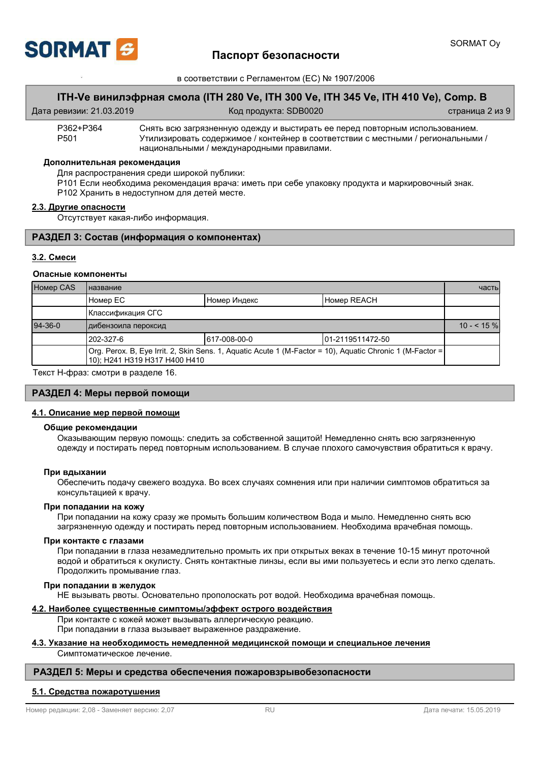

## **ITH-Ve ɜɢɧɢɥɷɮɪɧɚɹ ɫɦɨɥɚ (ITH 280 Ve, ITH 300 Ve, ITH 345 Ve, ITH 410 Ve), Comp. B**

| Дата ревизии: 21.03.2019 |  |
|--------------------------|--|
|--------------------------|--|

Код продукта: SDB0020 and and also expanding cтраница 2 из 9

P362+P364 Снять всю загрязненную одежду и выстирать ее перед повторным использованием.<br>P501 Утилизировать содержимое / контейнер в соответствии с местными / региональными Утилизировать содержимое / контейнер в соответствии с местными / региональными / национальными / международными правилами.

#### Дополнительная рекомендация

Для распространения среди широкой публики:

Р101 Если необходима рекомендация врача: иметь при себе упаковку продукта и маркировочный знак. Р102 Хранить в недоступном для детей месте.

#### $2.3.$  Другие опасности

Отсутствует какая-либо информация.

## РАЗДЕЛ 3: Состав (информация о компонентах)

## 3.2. Смеси

## Опасные компоненты

| <b>Homep CAS</b> | <b>Іназвание</b>              |              | часты                                                                                                     |             |
|------------------|-------------------------------|--------------|-----------------------------------------------------------------------------------------------------------|-------------|
|                  | I Номер EC                    | Номер Индекс | <b>Homep REACH</b>                                                                                        |             |
|                  | Классификация СГС             |              |                                                                                                           |             |
| $94-36-0$        | дибензоила пероксид           |              |                                                                                                           | $10 - 55\%$ |
|                  | 1202-327-6                    | 617-008-00-0 | 101-2119511472-50                                                                                         |             |
|                  | 10); H241 H319 H317 H400 H410 |              | Org. Perox. B, Eye Irrit. 2, Skin Sens. 1, Aquatic Acute 1 (M-Factor = 10), Aquatic Chronic 1 (M-Factor = |             |
| .                | $\sim$                        |              |                                                                                                           |             |

Текст Н-фраз: смотри в разделе 16.

## $PA$ ЗДЕЛ 4: Меры первой помощи

#### $4.1.$  Описание мер первой помощи

#### Общие рекомендации

Оказывающим первую помощь: следить за собственной защитой! Немедленно снять всю загрязненную одежду и постирать перед повторным использованием. В случае плохого самочувствия обратиться к врачу.

#### При вдыхании

Обеспечить подачу свежего воздуха. Во всех случаях сомнения или при наличии симптомов обратиться за консультацией к врачу.

#### При попадании на кожу

При попадании на кожу сразу же промыть большим количеством Вода и мыло. Немедленно снять всю загрязненную одежду и постирать перед повторным использованием. Необходима врачебная помощь.

#### При контакте с глазами

При попадании в глаза незамедлительно промыть их при открытых веках в течение 10-15 минут проточной водой и обратиться к окулисту. Снять контактные линзы, если вы ими пользуетесь и если это легко сделать. Продолжить промывание глаз.

#### При попадании в желудок

НЕ вызывать рвоты. Основательно прополоскать рот водой. Необходима врачебная помощь.

### **4.2. Наиболее существенные симптомы/эффект острого воздействия**

При контакте с кожей может вызывать аллергическую реакцию. При попадании в глаза вызывает выраженное раздражение.

#### 4.3. Указание на необходимость немедленной медицинской помощи и специальное лечения Симптоматическое лечение.

## РАЗДЕЛ 5: Меры и средства обеспечения пожаровзрывобезопасности

### **5.1. Средства пожаротушения**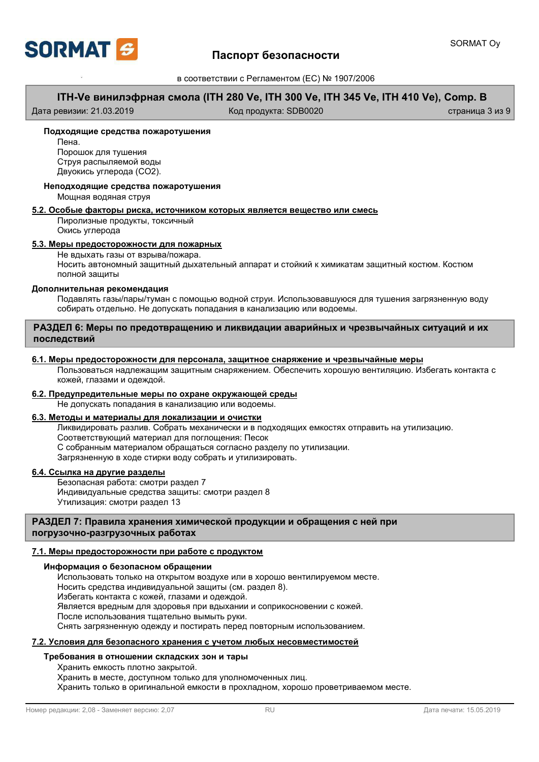

# **ITH-Ve ɜɢɧɢɥɷɮɪɧɚɹ ɫɦɨɥɚ (ITH 280 Ve, ITH 300 Ve, ITH 345 Ve, ITH 410 Ve), Comp. B**

Дата ревизии: 21.03.2019 Код продукта: SDB0020 страница 3 из 9

### Подходящие средства пожаротушения

Пена Порошок для тушения Струя распыляемой воды Двуокись углерода (СО2).

# Неподходящие средства пожаротушения

Мощная водяная струя

## **5.2. Особые факторы риска, источником которых является вещество или смесь**

Пиролизные продукты, токсичный Окись углерода

## $5.3.$  Меры предосторожности для пожарных

Не вдыхать газы от взрыва/пожара.

Носить автономный защитный дыхательный аппарат и стойкий к химикатам защитный костюм. Костюм полной зашиты

### Дополнительная рекомендация

Подавлять газы/пары/туман с помощью водной струи. Использовавшуюся для тушения загрязненную воду собирать отдельно. Не допускать попадания в канализацию или водоемы.

## РАЗДЕЛ 6: Меры по предотвращению и ликвидации аварийных и чрезвычайных ситуаций и их последствий

## **6.1. Ɇɟɪɵ ɩɪɟɞɨɫɬɨɪɨɠɧɨɫɬɢ ɞɥɹ ɩɟɪɫɨɧɚɥɚ, ɡɚɳɢɬɧɨɟ ɫɧɚɪɹɠɟɧɢɟ ɢ ɱɪɟɡɜɵɱɚɣɧɵɟ ɦɟɪɵ**

Пользоваться надлежащим защитным снаряжением. Обеспечить хорошую вентиляцию. Избегать контакта с кожей, глазами и одеждой.

## $6.2$ . Предупредительные меры по охране окружающей среды

Не допускать попадания в канализацию или водоемы.

## $6.3.$  Методы и материалы для локализации и очистки

Ликвидировать разлив. Собрать механически и в подходящих емкостях отправить на утилизацию. Соответствующий материал для поглощения: Песок С собранным материалом обращаться согласно разделу по утилизации. Загрязненную в ходе стирки воду собрать и утилизировать.

## **6.4. Ссылка на другие разделы**

Безопасная работа: смотри раздел 7 Индивидуальные средства защиты: смотри раздел 8 Утилизация: смотри раздел 13

## РАЗДЕЛ 7: Правила хранения химической продукции и обращения с ней при погрузочно-разгрузочных работах

## 7.1. Меры предосторожности при работе с продуктом

### **Информация о безопасном обращении**

Использовать только на открытом воздухе или в хорошо вентилируемом месте. Носить средства индивидуальной защиты (см. раздел 8). Избегать контакта с кожей, глазами и одеждой. Является вредным для здоровья при вдыхании и соприкосновении с кожей. После использования тщательно вымыть руки. Снять загрязненную одежду и постирать перед повторным использованием.

## **7.2. Условия для безопасного хранения с учетом любых несовместимостей**

## Требования в отношении складских зон и тары

Хранить емкость плотно закрытой.

Хранить в месте, доступном только для уполномоченных лиц.

Хранить только в оригинальной емкости в прохладном, хорошо проветриваемом месте.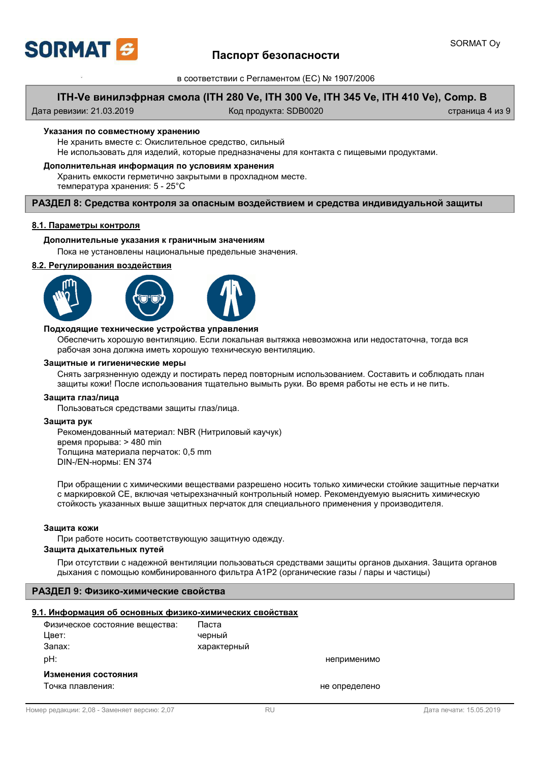

# Паспорт безопасности

в соответствии с Регламентом (ЕС) № 1907/2006

## **ITH-Ve ɜɢɧɢɥɷɮɪɧɚɹ ɫɦɨɥɚ (ITH 280 Ve, ITH 300 Ve, ITH 345 Ve, ITH 410 Ve), Comp. B**

Дата ревизии: 21.03.2019 Код продукта: SDB0020 страница 4 из 9

### Указания по совместному хранению

Не хранить вместе с: Окислительное средство, сильный Не использовать для изделий, которые предназначены для контакта с пищевыми продуктами.

### Дополнительная информация по условиям хранения

Хранить емкости герметично закрытыми в прохладном месте. температура хранения: 5 - 25°С

### РАЗДЕЛ 8: Средства контроля за опасным воздействием и средства индивидуальной защиты

### $8.1.$  Параметры контроля

#### Дополнительные указания к граничным значениям

Пока не установлены национальные предельные значения.

#### $8.2.$  Регулирования воздействия







### Подходящие технические устройства управления

Обеспечить хорошую вентиляцию. Если локальная вытяжка невозможна или недостаточна, тогда вся рабочая зона должна иметь хорошую техническую вентиляцию.

#### Зашитные и гигиенические меры

Снять загрязненную одежду и постирать перед повторным использованием. Составить и соблюдать план защиты кожи! После использования тщательно вымыть руки. Во время работы не есть и не пить.

#### $3a$ щита глаз/лица

Пользоваться средствами защиты глаз/лица.

#### $3a$ щита рук

Рекомендованный материал: NBR (Нитриловый каучук) время прорыва: > 480 min Толщина материала перчаток: 0,5 mm DIN-/EN-нормы: EN 374

При обращении с химическими веществами разрешено носить только химически стойкие защитные перчатки с маркировкой СЕ, включая четырехзначный контрольный номер. Рекомендуемую выяснить химическую стойкость указанных выше защитных перчаток для специального применения у производителя.

#### Защита кожи

При работе носить соответствующую защитную одежду.

### Защита дыхательных путей

При отсутствии с надежной вентиляции пользоваться средствами защиты органов дыхания. Защита органов дыхания с помощью комбинированного фильтра A1P2 (органические газы / пары и частицы)

## РАЗДЕЛ 9: Физико-химические свойства

#### 9.1. Информация об основных физико-химических свойствах

| Физическое состояние вещества: | Паста       |               |
|--------------------------------|-------------|---------------|
| Цвет:                          | черный      |               |
| Запах:                         | характерный |               |
| pH:                            |             | неприменимо   |
| Изменения состояния            |             |               |
| Точка плавления:               |             | не определено |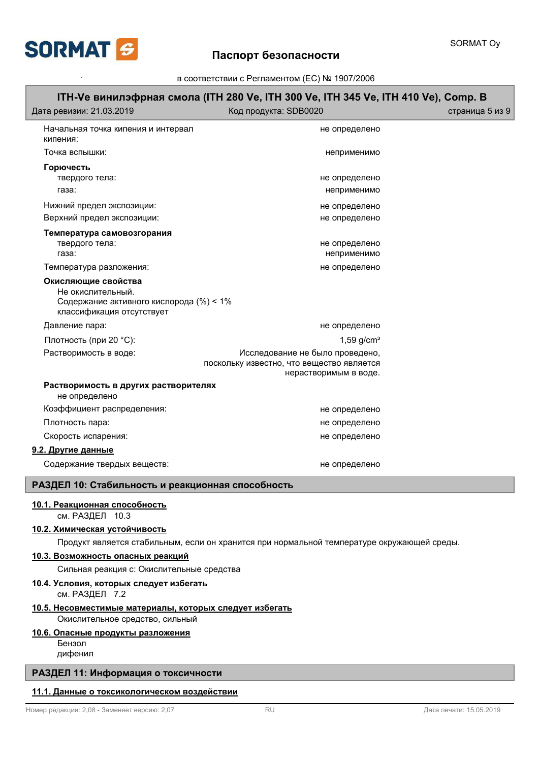

# **ITH-Ve ɜɢɧɢɥɷɮɪɧɚɹ ɫɦɨɥɚ (ITH 280 Ve, ITH 300 Ve, ITH 345 Ve, ITH 410 Ve), Comp. B** Дата ревизии: 21.03.2019 Ислинов Код продукта: SDB0020 и и и и и и и и страница 5 из 9 Начальная точка кипения и интервал и интервал и интервалено и интервалено и не определено кипения: Ɍɨɱɤɚ ɜɫɩɵɲɤɢ: ɧɟɩɪɢɦɟɧɢɦɨ **Горючесть** ɬɜɟɪɞɨɝɨ ɬɟɥɚ: ɧɟ ɨɩɪɟɞɟɥɟɧɨ ɝɚɡɚ: ɧɟɩɪɢɦɟɧɢɦɨ ɇɢɠɧɢɣ ɩɪɟɞɟɥ ɷɤɫɩɨɡɢɰɢɢ: ɧɟ ɨɩɪɟɞɟɥɟɧɨ Верхний предел экспозиции: испованно и и и и и и и и и и и и и не определено Температура самовозгорания ɬɜɟɪɞɨɝɨ ɬɟɥɚ: ɧɟ ɨɩɪɟɞɟɥɟɧɨ ɝɚɡɚ: ɧɟɩɪɢɦɟɧɢɦɨ Ɍɟɦɩɟɪɚɬɭɪɚ ɪɚɡɥɨɠɟɧɢɹ: ɧɟ ɨɩɪɟɞɟɥɟɧɨ Не окислительный. Содержание активного кислорода (%) < 1% классификация отсутствует Окисляющие свойства Ⱦɚɜɥɟɧɢɟ ɩɚɪɚ: ɧɟ ɨɩɪɟɞɟɥɟɧɨ Плотность (при 20 °C): 1,59 g/cm<sup>3</sup> Растворимость в воде: иследование не было проведено, поскольку известно, что вещество является нерастворимым в воде. **Растворимость в других растворителях** не определено Коэффициент распределения: использование и и и и и и и и и не определено ɉɥɨɬɧɨɫɬɶ ɩɚɪɚ: ɧɟ ɨɩɪɟɞɟɥɟɧɨ ɋɤɨɪɨɫɬɶ ɢɫɩɚɪɟɧɢɹ: ɧɟ ɨɩɪɟɞɟɥɟɧɨ **9.2. Другие данные** Содержание твердых веществ: и и и и и и и и и и и и и и и не определено РАЗДЕЛ 10: Стабильность и реакционная способность **10.1. Реакционная способность** см. РАЗДЕЛ 10.3 **10.2. Химическая устойчивость** Продукт является стабильным, если он хранится при нормальной температуре окружающей среды. **10.3. Возможность опасных реакций** Сильная реакция с: Окислительные средства см. РАЗДЕЛ 7.2 10.4. Условия, которых следует избегать Окислительное средство, сильный **10.5. Несовместимые материалы, которых следует избегать** Бензол дифенил **10.6. Опасные продукты разложения** РАЗДЕЛ 11: Информация о токсичности **11.1. Данные о токсикологическом воздействии**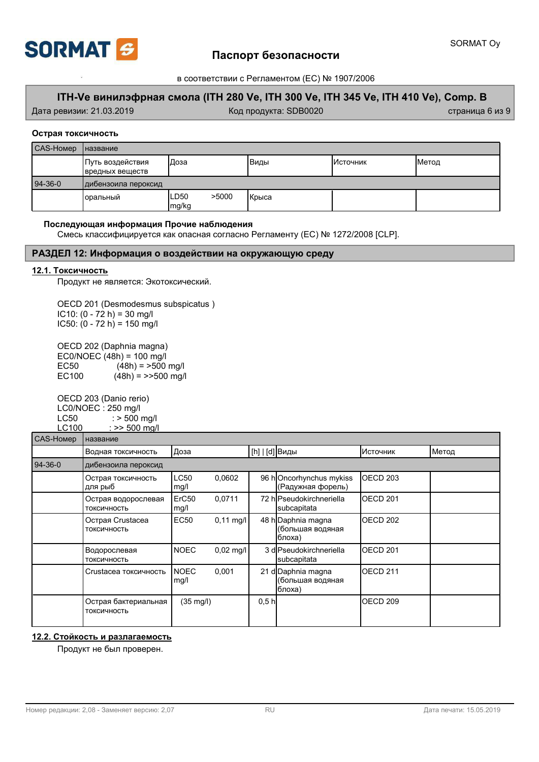

# Паспорт безопасности

в соответствии с Регламентом (ЕС) № 1907/2006

# **ITH-Ve ɜɢɧɢɥɷɮɪɧɚɹ ɫɦɨɥɚ (ITH 280 Ve, ITH 300 Ve, ITH 345 Ve, ITH 410 Ve), Comp. B**

Дата ревизии: 21.03.2019 И Стата и Код продукта: SDB0020 и и страница 6 из 9

## Острая токсичность

| CAS-Homep | <b>Название</b>                      |                         |                |                 |       |
|-----------|--------------------------------------|-------------------------|----------------|-----------------|-------|
|           | Путь воздействия<br> вредных веществ | Доза                    | Виды           | <b>Источник</b> | Метод |
| $94-36-0$ | дибензоила пероксид                  |                         |                |                 |       |
|           | Іоральный                            | >5000<br>ILD50<br>mg/kg | <b>I</b> Крыса |                 |       |

## Последующая информация Прочие наблюдения

Смесь классифицируется как опасная согласно Регламенту (ЕС) № 1272/2008 [CLP].

## РАЗДЕЛ 12: Информация о воздействии на окружающую среду

## 12.1. Токсичность

Продукт не является: Экотоксический.

OECD 201 (Desmodesmus subspicatus ) IC10:  $(0 - 72 h) = 30 mg/l$ IC50:  $(0 - 72 h) = 150 mg/l$ 

OECD 202 (Daphnia magna)  $EC0/NOEC (48h) = 100 mg/l$ <br> $EC50$   $(48h) = >500$ EC50  $(48h) = 500$  mg/l<br>EC100  $(48h) = 500$  mg/  $(48h) = \frac{500 \text{ mg}}{h}$ 

OECD 203 (Danio rerio) LC0/NOEC : 250 mg/l LC50  $:$  > 500 mg/l<br>LC100  $:$  >> 500 mg/l  $: >> 500$  mg/l

# $\Gamma$ CAS-HOMen $\Gamma$ Haзвание

| שטויוטו ו טו וט |                                     |                           |                     |                  |                                                   |                     |       |
|-----------------|-------------------------------------|---------------------------|---------------------|------------------|---------------------------------------------------|---------------------|-------|
|                 | Водная токсичность                  | Доза                      |                     | [h]   [d] Виды   |                                                   | Источник            | Метод |
| $94-36-0$       | дибензоила пероксид                 |                           |                     |                  |                                                   |                     |       |
|                 | Острая токсичность<br>для рыб       | <b>LC50</b><br>mg/l       | 0,0602              |                  | 96 hOncorhynchus mykiss<br>(Радужная форель)      | OECD <sub>203</sub> |       |
|                 | Острая водорослевая<br>ТОКСИЧНОСТЬ  | ErC <sub>50</sub><br>mg/l | 0.0711              |                  | 72 hlPseudokirchneriella<br>subcapitata           | OECD <sub>201</sub> |       |
|                 | Острая Crustacea<br>ТОКСИЧНОСТЬ     | <b>EC50</b>               | $0,11 \text{ mq/l}$ |                  | 48 h Daphnia magna<br>(большая водяная<br>блоха)  | OECD <sub>202</sub> |       |
|                 | Водорослевая<br>ТОКСИЧНОСТЬ         | <b>NOEC</b>               | $0.02$ mg/l         |                  | 3 dlPseudokirchneriella<br>subcapitata            | OECD <sub>201</sub> |       |
|                 | Crustacea токсичность               | <b>NOEC</b><br>mg/l       | 0,001               |                  | 21 d Daphnia magna<br>(большая водяная<br> блоха) | OECD <sub>211</sub> |       |
|                 | Острая бактериальная<br>ТОКСИЧНОСТЬ | $(35 \text{ mg/l})$       |                     | 0.5 <sub>h</sub> |                                                   | OECD <sub>209</sub> |       |

## **12.2. Стойкость и разлагаемость**

Продукт не был проверен.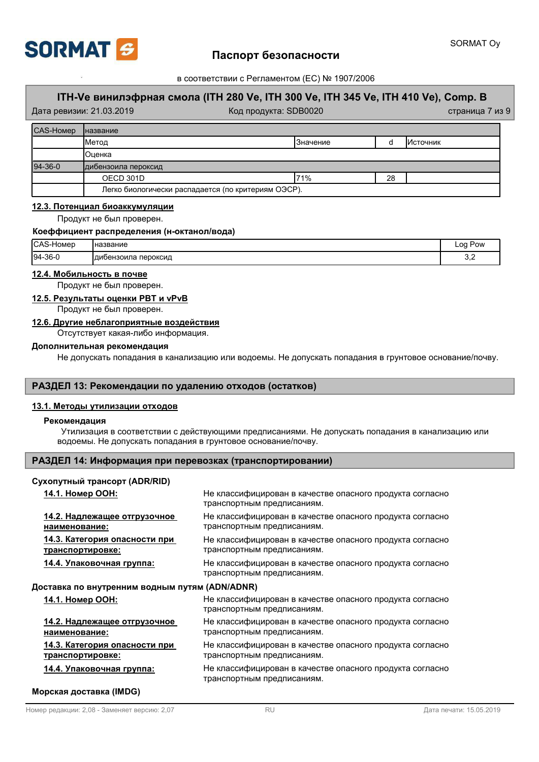

# Паспорт безопасности

в соответствии с Регламентом (ЕС) № 1907/2006

# **ITH-Ve ɜɢɧɢɥɷɮɪɧɚɹ ɫɦɨɥɚ (ITH 280 Ve, ITH 300 Ve, ITH 345 Ve, ITH 410 Ve), Comp. B**

|           | Дата ревизии: 21.03.2019 | Код продукта: SDB0020                               |           |    |                 | страница 7 из 9 |
|-----------|--------------------------|-----------------------------------------------------|-----------|----|-----------------|-----------------|
| CAS-Homep | <b>Іназвание</b>         |                                                     |           |    |                 |                 |
|           | Метод                    |                                                     | ІЗначение |    | <b>Источник</b> |                 |
|           | ІОценка                  |                                                     |           |    |                 |                 |
| $94-36-0$ | дибензоила пероксид      |                                                     |           |    |                 |                 |
|           | OECD 301D                |                                                     | 71%       | 28 |                 |                 |
|           |                          | Легко биологически распадается (по критериям ОЭСР). |           |    |                 |                 |

### **12.3. Потенциал биоаккумуляции**

Продукт не был проверен.

### Коеффициент распределения (н-октанол/вода)

| <b>ICAS</b><br>-Номер | <b>Чназвание</b>       | Pow<br>റ<br>-- |
|-----------------------|------------------------|----------------|
| 194-36-0              | Пероксид<br>аибензоила | v.c            |

## $12.4.$  Мобильность в почве

Продукт не был проверен.

## $12.5.$  Результаты оценки РВТ и vPvB

Продукт не был проверен.

### 12.6. Другие неблагоприятные воздействия

Отсутствует какая-либо информация.

## Дополнительная рекомендация

Не допускать попадания в канализацию или водоемы. Не допускать попадания в грунтовое основание/почву.

## РАЗДЕЛ 13: Рекомендации по удалению отходов (остатков)

### **13.1. Методы утилизации отходов**

### **Рекомендация**

Утилизация в соответствии с действующими предписаниями. Не допускать попадания в канализацию или водоемы. Не допускать попадания в грунтовое основание/почву.

## РАЗДЕЛ 14: Информация при перевозках (транспортировании)

## Сухопутный трансорт (ADR/RID)

| 14.1. Номер ООН:                                         | Не классифицирован в качестве опасного продукта согласно<br>транспортным предписаниям. |
|----------------------------------------------------------|----------------------------------------------------------------------------------------|
| 14.2. Надлежащее отгрузочное<br>наименование:            | Не классифицирован в качестве опасного продукта согласно<br>транспортным предписаниям. |
| 14.3. Категория опасности при<br><u>транспортировке:</u> | Не классифицирован в качестве опасного продукта согласно<br>транспортным предписаниям. |
| 14.4. Упаковочная группа:                                | Не классифицирован в качестве опасного продукта согласно<br>транспортным предписаниям. |
| Доставка по внутренним водным путям (ADN/ADNR)           |                                                                                        |
| 14.1. Номер ООН:                                         | Не классифицирован в качестве опасного продукта согласно<br>транспортным предписаниям. |
| 14.2. Надлежащее отгрузочное<br>наименование:            | Не классифицирован в качестве опасного продукта согласно<br>транспортным предписаниям. |
| 14.3. Категория опасности при<br><u>транспортировке:</u> | Не классифицирован в качестве опасного продукта согласно<br>транспортным предписаниям. |
| 14.4. Упаковочная группа:                                | Не классифицирован в качестве опасного продукта согласно<br>транспортным предписаниям. |

### **Морская доставка (IMDG)**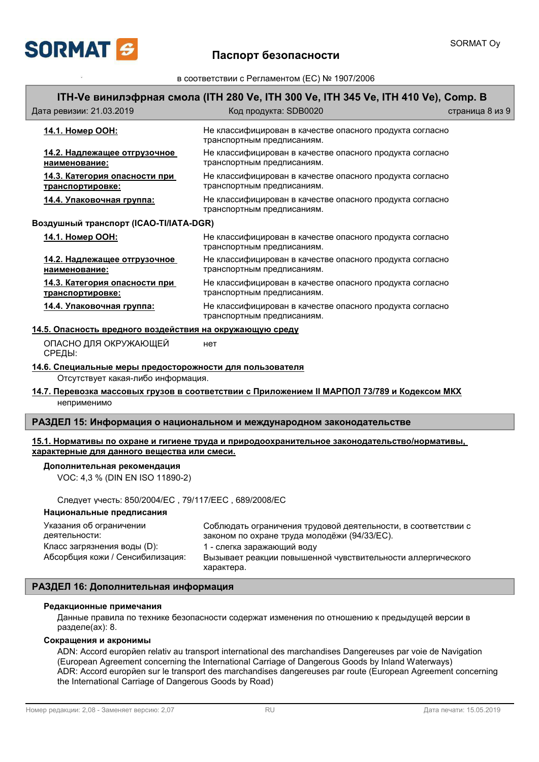

# SORMAT Oy

# **ITH-Ve ɜɢɧɢɥɷɮɪɧɚɹ ɫɦɨɥɚ (ITH 280 Ve, ITH 300 Ve, ITH 345 Ve, ITH 410 Ve), Comp. B**

| Дата ревизии: 21.03.2019                                  | Код продукта: SDB0020                                                                  | страница 8 из 9 |
|-----------------------------------------------------------|----------------------------------------------------------------------------------------|-----------------|
| 14.1. Номер ООН:                                          | Не классифицирован в качестве опасного продукта согласно<br>транспортным предписаниям. |                 |
| 14.2. Надлежащее отгрузочное<br>наименование:             | Не классифицирован в качестве опасного продукта согласно<br>транспортным предписаниям. |                 |
| 14.3. Категория опасности при<br>транспортировке:         | Не классифицирован в качестве опасного продукта согласно<br>транспортным предписаниям. |                 |
| <u> 14.4. Упаковочная группа:</u>                         | Не классифицирован в качестве опасного продукта согласно<br>транспортным предписаниям. |                 |
| Воздушный транспорт (ICAO-TI/IATA-DGR)                    |                                                                                        |                 |
| 14.1. Номер ООН:                                          | Не классифицирован в качестве опасного продукта согласно<br>транспортным предписаниям. |                 |
| 14.2. Надлежащее отгрузочное<br>наименование:             | Не классифицирован в качестве опасного продукта согласно<br>транспортным предписаниям. |                 |
| 14.3. Категория опасности при<br>транспортировке:         | Не классифицирован в качестве опасного продукта согласно<br>транспортным предписаниям. |                 |
| 14.4. Упаковочная группа:                                 | Не классифицирован в качестве опасного продукта согласно<br>транспортным предписаниям. |                 |
| 14.5. Опасность вредного воздействия на окружающию среду. |                                                                                        |                 |

# <u>14.5. Опасность вредного воздействия на окружающую среду</u>

ОПАСНО ДЛЯ ОКРУЖАЮЩЕЙ НЕТ СРЕДЫ:

## **14.6. Специальные меры предосторожности для пользователя**

Отсутствует какая-либо информация.

## **14.7. Перевозка массовых грузов в соответствии с Приложением II МАРПОЛ 73/789 и Кодексом МКХ** неприменимо

## РАЗДЕЛ 15: Информация о национальном и международном законодательстве

### **15.1. Нормативы по охране и гигиене труда и природоохранительное законодательство/нормативы,**  $x$ арактерные для данного вещества или смеси.

### Дополнительная рекомендация

VOC: 4,3 % (DIN EN ISO 11890-2)

Следует учесть: 850/2004/ЕС, 79/117/ЕЕС, 689/2008/ЕС

### Национальные предписания

| Указания об ограничении          | Соблюдать ограничения трудовой деятельности, в соответствии с |
|----------------------------------|---------------------------------------------------------------|
| деятельности:                    | законом по охране труда молодёжи (94/33/ЕС).                  |
| Класс загрязнения воды (D):      | 1 - слегка заражающий воду                                    |
| Абсорбция кожи / Сенсибилизация: | Вызывает реакции повышенной чувствительности аллергического   |
|                                  | характера.                                                    |

## РАЗДЕЛ 16: Дополнительная информация

### Редакционные примечания

Данные правила по технике безопасности содержат изменения по отношению к предыдущей версии в разделе(ах): 1.1 (UFI).

## Сокращения и акронимы

ADN: Accord europĭen relativ au transport international des marchandises Dangereuses par voie de Navigation (European Agreement concerning the International Carriage of Dangerous Goods by Inland Waterways) ADR: Accord europйen sur le transport des marchandises dangereuses par route (European Agreement concerning the International Carriage of Dangerous Goods by Road)